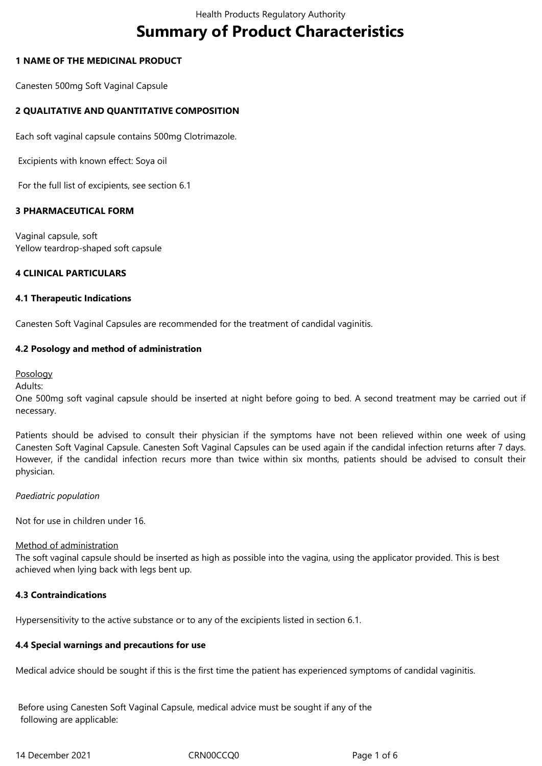# **Summary of Product Characteristics**

# **1 NAME OF THE MEDICINAL PRODUCT**

Canesten 500mg Soft Vaginal Capsule

# **2 QUALITATIVE AND QUANTITATIVE COMPOSITION**

Each soft vaginal capsule contains 500mg Clotrimazole.

Excipients with known effect: Soya oil

For the full list of excipients, see section 6.1

# **3 PHARMACEUTICAL FORM**

Vaginal capsule, soft Yellow teardrop-shaped soft capsule

# **4 CLINICAL PARTICULARS**

## **4.1 Therapeutic Indications**

Canesten Soft Vaginal Capsules are recommended for the treatment of candidal vaginitis.

# **4.2 Posology and method of administration**

Posology

Adults:

One 500mg soft vaginal capsule should be inserted at night before going to bed. A second treatment may be carried out if necessary.

Patients should be advised to consult their physician if the symptoms have not been relieved within one week of using Canesten Soft Vaginal Capsule. Canesten Soft Vaginal Capsules can be used again if the candidal infection returns after 7 days. However, if the candidal infection recurs more than twice within six months, patients should be advised to consult their physician.

# *Paediatric population*

Not for use in children under 16.

#### Method of administration

The soft vaginal capsule should be inserted as high as possible into the vagina, using the applicator provided. This is best achieved when lying back with legs bent up.

# **4.3 Contraindications**

Hypersensitivity to the active substance or to any of the excipients listed in section 6.1.

# **4.4 Special warnings and precautions for use**

Medical advice should be sought if this is the first time the patient has experienced symptoms of candidal vaginitis.

 Before using Canesten Soft Vaginal Capsule, medical advice must be sought if any of the following are applicable: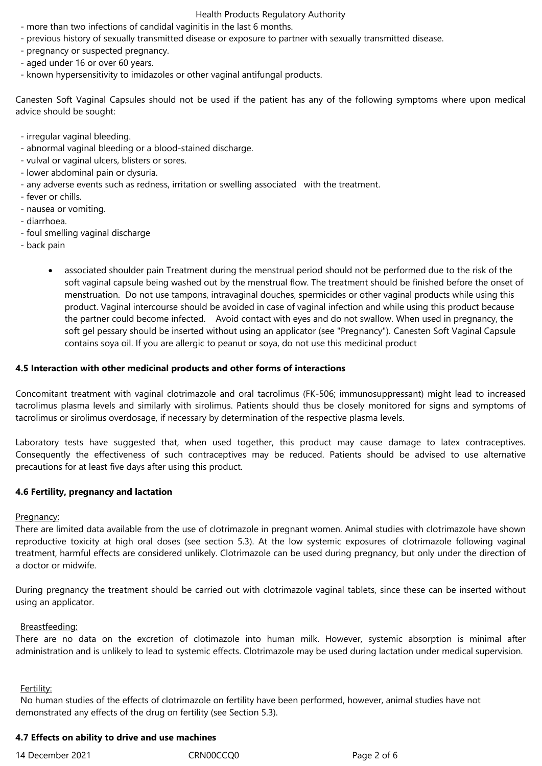#### Health Products Regulatory Authority

- more than two infections of candidal vaginitis in the last 6 months.
- previous history of sexually transmitted disease or exposure to partner with sexually transmitted disease.
- pregnancy or suspected pregnancy.
- aged under 16 or over 60 years.
- known hypersensitivity to imidazoles or other vaginal antifungal products.

Canesten Soft Vaginal Capsules should not be used if the patient has any of the following symptoms where upon medical advice should be sought:

- irregular vaginal bleeding.
- abnormal vaginal bleeding or a blood-stained discharge.
- vulval or vaginal ulcers, blisters or sores.
- lower abdominal pain or dysuria.
- any adverse events such as redness, irritation or swelling associated with the treatment.
- fever or chills.
- nausea or vomiting.
- diarrhoea.
- foul smelling vaginal discharge
- - back pain
	- associated shoulder pain Treatment during the menstrual period should not be performed due to the risk of the soft vaginal capsule being washed out by the menstrual flow. The treatment should be finished before the onset of menstruation. Do not use tampons, intravaginal douches, spermicides or other vaginal products while using this product. Vaginal intercourse should be avoided in case of vaginal infection and while using this product because the partner could become infected. Avoid contact with eyes and do not swallow. When used in pregnancy, the soft gel pessary should be inserted without using an applicator (see "Pregnancy"). Canesten Soft Vaginal Capsule contains soya oil. If you are allergic to peanut or soya, do not use this medicinal product

## **4.5 Interaction with other medicinal products and other forms of interactions**

Concomitant treatment with vaginal clotrimazole and oral tacrolimus (FK-506; immunosuppressant) might lead to increased tacrolimus plasma levels and similarly with sirolimus. Patients should thus be closely monitored for signs and symptoms of tacrolimus or sirolimus overdosage, if necessary by determination of the respective plasma levels.

Laboratory tests have suggested that, when used together, this product may cause damage to latex contraceptives. Consequently the effectiveness of such contraceptives may be reduced. Patients should be advised to use alternative precautions for at least five days after using this product.

#### **4.6 Fertility, pregnancy and lactation**

#### Pregnancy:

There are limited data available from the use of clotrimazole in pregnant women. Animal studies with clotrimazole have shown reproductive toxicity at high oral doses (see section 5.3). At the low systemic exposures of clotrimazole following vaginal treatment, harmful effects are considered unlikely. Clotrimazole can be used during pregnancy, but only under the direction of a doctor or midwife.

During pregnancy the treatment should be carried out with clotrimazole vaginal tablets, since these can be inserted without using an applicator.

#### Breastfeeding:

There are no data on the excretion of clotimazole into human milk. However, systemic absorption is minimal after administration and is unlikely to lead to systemic effects. Clotrimazole may be used during lactation under medical supervision.

#### Fertility:

 No human studies of the effects of clotrimazole on fertility have been performed, however, animal studies have not demonstrated any effects of the drug on fertility (see Section 5.3).

# **4.7 Effects on ability to drive and use machines**

14 December 2021 CRN00CCQ0 Page 2 of 6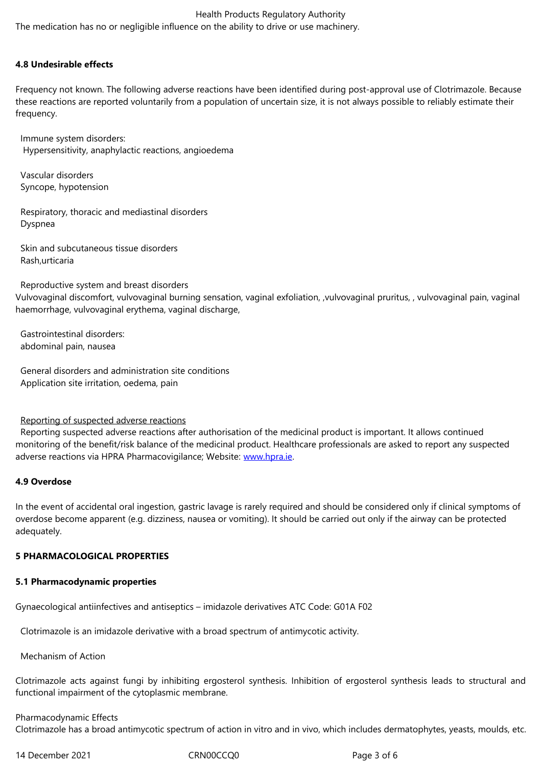## **4.8 Undesirable effects**

Frequency not known. The following adverse reactions have been identified during post-approval use of Clotrimazole. Because these reactions are reported voluntarily from a population of uncertain size, it is not always possible to reliably estimate their frequency.

 Immune system disorders: Hypersensitivity, anaphylactic reactions, angioedema

 Vascular disorders Syncope, hypotension

 Respiratory, thoracic and mediastinal disorders Dyspnea

 Skin and subcutaneous tissue disorders Rash,urticaria

 Reproductive system and breast disorders Vulvovaginal discomfort, vulvovaginal burning sensation, vaginal exfoliation, ,vulvovaginal pruritus, , vulvovaginal pain, vaginal haemorrhage, vulvovaginal erythema, vaginal discharge,

 Gastrointestinal disorders: abdominal pain, nausea

 General disorders and administration site conditions Application site irritation, oedema, pain

# Reporting of suspected adverse reactions

 Reporting suspected adverse reactions after authorisation of the medicinal product is important. It allows continued monitoring of the benefit/risk balance of the medicinal product. Healthcare professionals are asked to report any suspected adverse reactions via HPRA Pharmacovigilance; Website: www.hpra.ie.

# **4.9 Overdose**

In the event of accidental oral ingestion, gastric lavage is [rarely requir](http://www.hpra.ie/)ed and should be considered only if clinical symptoms of overdose become apparent (e.g. dizziness, nausea or vomiting). It should be carried out only if the airway can be protected adequately.

# **5 PHARMACOLOGICAL PROPERTIES**

#### **5.1 Pharmacodynamic properties**

Gynaecological antiinfectives and antiseptics – imidazole derivatives ATC Code: G01A F02

Clotrimazole is an imidazole derivative with a broad spectrum of antimycotic activity.

Mechanism of Action

Clotrimazole acts against fungi by inhibiting ergosterol synthesis. Inhibition of ergosterol synthesis leads to structural and functional impairment of the cytoplasmic membrane.

## Pharmacodynamic Effects Clotrimazole has a broad antimycotic spectrum of action in vitro and in vivo, which includes dermatophytes, yeasts, moulds, etc.

14 December 2021 CRN00CCQ0 Page 3 of 6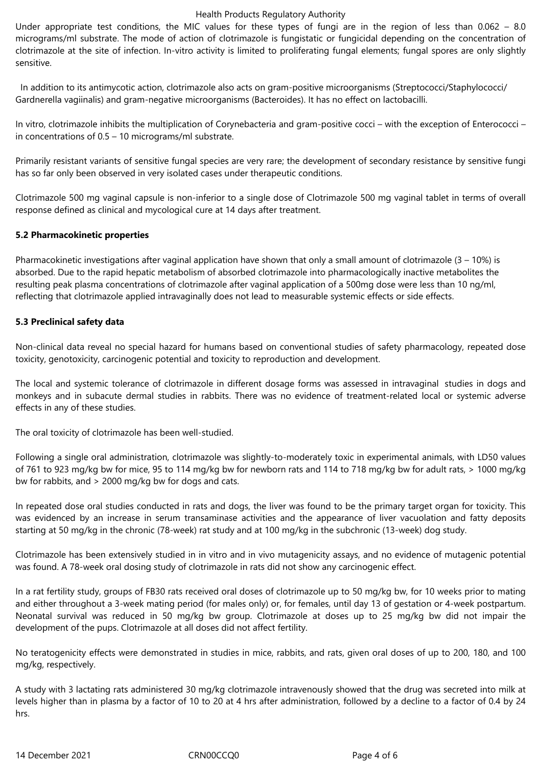## Health Products Regulatory Authority

Under appropriate test conditions, the MIC values for these types of fungi are in the region of less than 0.062 – 8.0 micrograms/ml substrate. The mode of action of clotrimazole is fungistatic or fungicidal depending on the concentration of clotrimazole at the site of infection. In-vitro activity is limited to proliferating fungal elements; fungal spores are only slightly sensitive.

 In addition to its antimycotic action, clotrimazole also acts on gram-positive microorganisms (Streptococci/Staphylococci/ Gardnerella vagiinalis) and gram-negative microorganisms (Bacteroides). It has no effect on lactobacilli.

In vitro, clotrimazole inhibits the multiplication of Corynebacteria and gram-positive cocci – with the exception of Enterococci – in concentrations of 0.5 – 10 micrograms/ml substrate.

Primarily resistant variants of sensitive fungal species are very rare; the development of secondary resistance by sensitive fungi has so far only been observed in very isolated cases under therapeutic conditions.

Clotrimazole 500 mg vaginal capsule is non-inferior to a single dose of Clotrimazole 500 mg vaginal tablet in terms of overall response defined as clinical and mycological cure at 14 days after treatment.

# **5.2 Pharmacokinetic properties**

Pharmacokinetic investigations after vaginal application have shown that only a small amount of clotrimazole  $(3 - 10\%)$  is absorbed. Due to the rapid hepatic metabolism of absorbed clotrimazole into pharmacologically inactive metabolites the resulting peak plasma concentrations of clotrimazole after vaginal application of a 500mg dose were less than 10 ng/ml, reflecting that clotrimazole applied intravaginally does not lead to measurable systemic effects or side effects.

# **5.3 Preclinical safety data**

Non-clinical data reveal no special hazard for humans based on conventional studies of safety pharmacology, repeated dose toxicity, genotoxicity, carcinogenic potential and toxicity to reproduction and development.

The local and systemic tolerance of clotrimazole in different dosage forms was assessed in intravaginal studies in dogs and monkeys and in subacute dermal studies in rabbits. There was no evidence of treatment-related local or systemic adverse effects in any of these studies.

The oral toxicity of clotrimazole has been well-studied.

Following a single oral administration, clotrimazole was slightly-to-moderately toxic in experimental animals, with LD50 values of 761 to 923 mg/kg bw for mice, 95 to 114 mg/kg bw for newborn rats and 114 to 718 mg/kg bw for adult rats, > 1000 mg/kg bw for rabbits, and > 2000 mg/kg bw for dogs and cats.

In repeated dose oral studies conducted in rats and dogs, the liver was found to be the primary target organ for toxicity. This was evidenced by an increase in serum transaminase activities and the appearance of liver vacuolation and fatty deposits starting at 50 mg/kg in the chronic (78-week) rat study and at 100 mg/kg in the subchronic (13-week) dog study.

Clotrimazole has been extensively studied in in vitro and in vivo mutagenicity assays, and no evidence of mutagenic potential was found. A 78-week oral dosing study of clotrimazole in rats did not show any carcinogenic effect.

In a rat fertility study, groups of FB30 rats received oral doses of clotrimazole up to 50 mg/kg bw, for 10 weeks prior to mating and either throughout a 3-week mating period (for males only) or, for females, until day 13 of gestation or 4-week postpartum. Neonatal survival was reduced in 50 mg/kg bw group. Clotrimazole at doses up to 25 mg/kg bw did not impair the development of the pups. Clotrimazole at all doses did not affect fertility.

No teratogenicity effects were demonstrated in studies in mice, rabbits, and rats, given oral doses of up to 200, 180, and 100 mg/kg, respectively.

A study with 3 lactating rats administered 30 mg/kg clotrimazole intravenously showed that the drug was secreted into milk at levels higher than in plasma by a factor of 10 to 20 at 4 hrs after administration, followed by a decline to a factor of 0.4 by 24 hrs.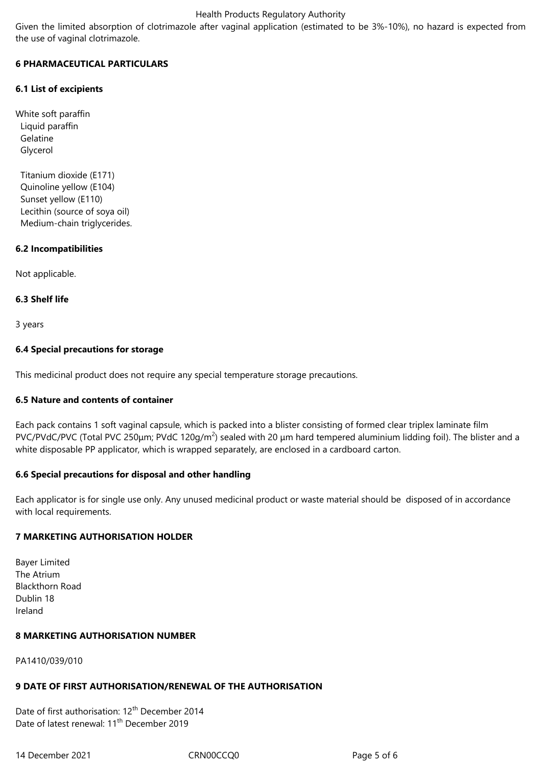# Health Products Regulatory Authority

Given the limited absorption of clotrimazole after vaginal application (estimated to be 3%-10%), no hazard is expected from the use of vaginal clotrimazole.

# **6 PHARMACEUTICAL PARTICULARS**

# **6.1 List of excipients**

White soft paraffin Liquid paraffin Gelatine Glycerol

 Titanium dioxide (E171) Quinoline yellow (E104) Sunset yellow (E110) Lecithin (source of soya oil) Medium-chain triglycerides.

# **6.2 Incompatibilities**

Not applicable.

# **6.3 Shelf life**

3 years

# **6.4 Special precautions for storage**

This medicinal product does not require any special temperature storage precautions.

# **6.5 Nature and contents of container**

Each pack contains 1 soft vaginal capsule, which is packed into a blister consisting of formed clear triplex laminate film PVC/PVdC/PVC (Total PVC 250 $\mu$ m; PVdC 120g/m<sup>2</sup>) sealed with 20  $\mu$ m hard tempered aluminium lidding foil). The blister and a white disposable PP applicator, which is wrapped separately, are enclosed in a cardboard carton.

# **6.6 Special precautions for disposal and other handling**

Each applicator is for single use only. Any unused medicinal product or waste material should be disposed of in accordance with local requirements.

# **7 MARKETING AUTHORISATION HOLDER**

Bayer Limited The Atrium Blackthorn Road Dublin 18 Ireland

# **8 MARKETING AUTHORISATION NUMBER**

PA1410/039/010

# **9 DATE OF FIRST AUTHORISATION/RENEWAL OF THE AUTHORISATION**

Date of first authorisation: 12<sup>th</sup> December 2014 Date of latest renewal: 11<sup>th</sup> December 2019